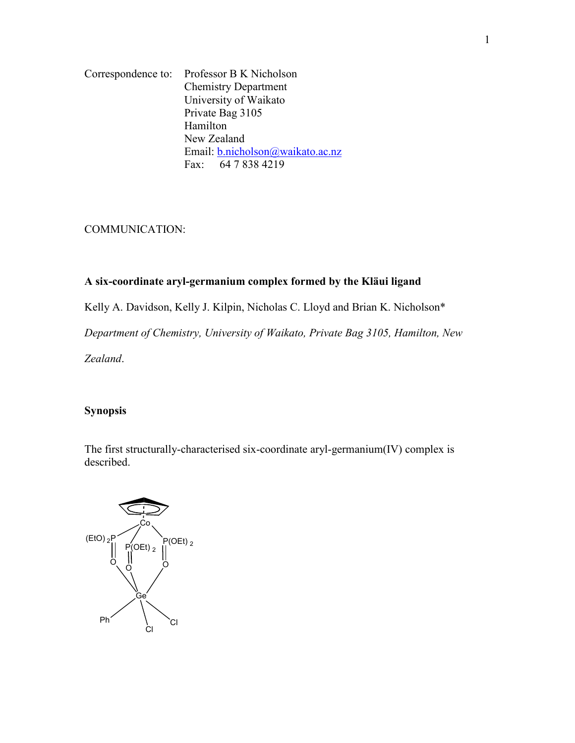Correspondence to: Professor B K Nicholson Chemistry Department University of Waikato Private Bag 3105 Hamilton New Zealand Email: b.nicholson@waikato.ac.nz Fax: 64 7 838 4219

COMMUNICATION:

# **A six-coordinate aryl-germanium complex formed by the Kläui ligand**

Kelly A. Davidson, Kelly J. Kilpin, Nicholas C. Lloyd and Brian K. Nicholson\*

*Department of Chemistry, University of Waikato, Private Bag 3105, Hamilton, New* 

*Zealand*.

# **Synopsis**

The first structurally-characterised six-coordinate aryl-germanium(IV) complex is described.

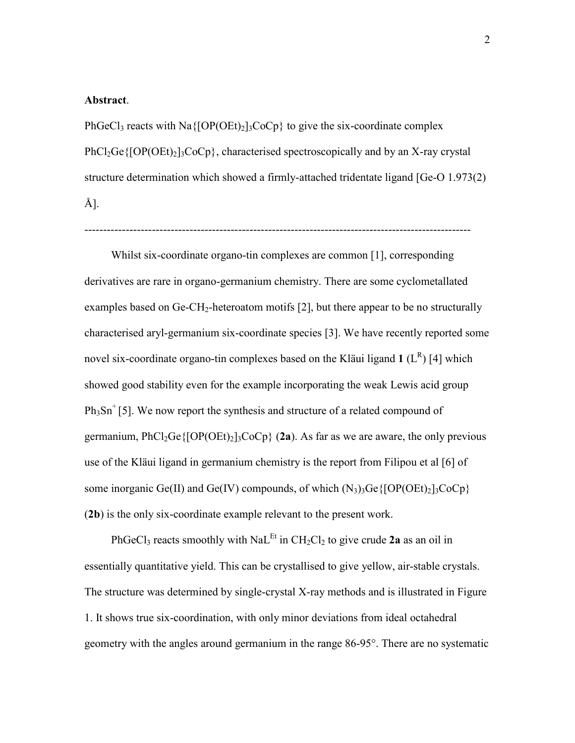#### **Abstract**.

PhGeCl<sub>3</sub> reacts with Na $\{[OP(OEt)_2]_3CoCp\}$  to give the six-coordinate complex  $PhCl<sub>2</sub>Ge\{[OP(OEt)<sub>2</sub>]$ <sub>3</sub>CoCp<sub>3</sub>, characterised spectroscopically and by an X-ray crystal structure determination which showed a firmly-attached tridentate ligand [Ge-O 1.973(2) Å].

-------------------------------------------------------------------------------------------------------

 Whilst six-coordinate organo-tin complexes are common [1], corresponding derivatives are rare in organo-germanium chemistry. There are some cyclometallated examples based on  $Ge-CH_2$ -heteroatom motifs [2], but there appear to be no structurally characterised aryl-germanium six-coordinate species [3]. We have recently reported some novel six-coordinate organo-tin complexes based on the Kläui ligand  $1(L^R)$  [4] which showed good stability even for the example incorporating the weak Lewis acid group  $Ph<sub>3</sub>Sn<sup>+</sup>$  [5]. We now report the synthesis and structure of a related compound of germanium,  $PhCl<sub>2</sub>Ge\{[OP(OEt)<sub>2</sub>]<sub>3</sub>CoCp\}$  (2a). As far as we are aware, the only previous use of the Kläui ligand in germanium chemistry is the report from Filipou et al [6] of some inorganic Ge(II) and Ge(IV) compounds, of which  $(N_3)_3$ Ge{[OP(OEt)<sub>2</sub>]<sub>3</sub>CoCp} (**2b**) is the only six-coordinate example relevant to the present work.

PhGeCl<sub>3</sub> reacts smoothly with NaL<sup>Et</sup> in CH<sub>2</sub>Cl<sub>2</sub> to give crude **2a** as an oil in essentially quantitative yield. This can be crystallised to give yellow, air-stable crystals. The structure was determined by single-crystal X-ray methods and is illustrated in Figure 1. It shows true six-coordination, with only minor deviations from ideal octahedral geometry with the angles around germanium in the range 86-95°. There are no systematic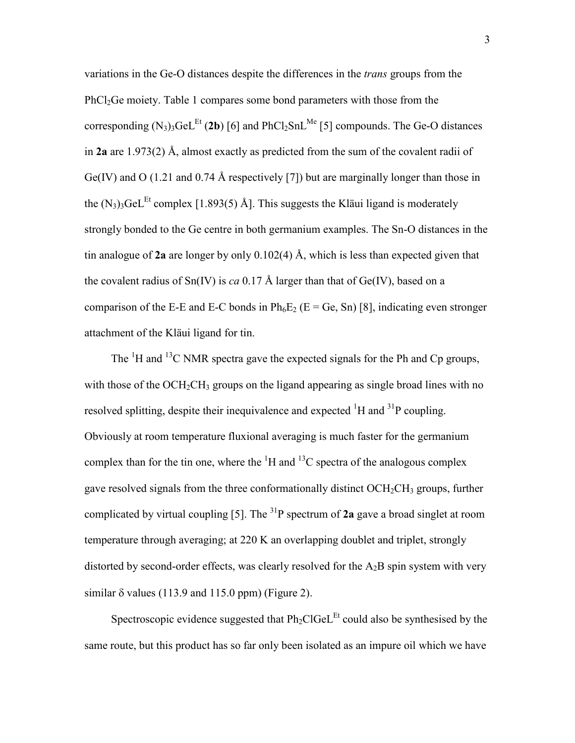variations in the Ge-O distances despite the differences in the *trans* groups from the PhCl2Ge moiety. Table 1 compares some bond parameters with those from the corresponding  $(N_3)_3$ GeL<sup>Et</sup> (2b) [6] and PhCl<sub>2</sub>SnL<sup>Me</sup> [5] compounds. The Ge-O distances in **2a** are 1.973(2) Å, almost exactly as predicted from the sum of the covalent radii of Ge(IV) and O (1.21 and 0.74 Å respectively [7]) but are marginally longer than those in the  $(N_3)$ <sub>3</sub>GeL<sup>Et</sup> complex [1.893(5) Å]. This suggests the Kläui ligand is moderately strongly bonded to the Ge centre in both germanium examples. The Sn-O distances in the tin analogue of **2a** are longer by only 0.102(4) Å, which is less than expected given that the covalent radius of  $Sn(IV)$  is *ca* 0.17 Å larger than that of Ge(IV), based on a comparison of the E-E and E-C bonds in  $Ph_6E_2$  (E = Ge, Sn) [8], indicating even stronger attachment of the Kläui ligand for tin.

The  ${}^{1}H$  and  ${}^{13}C$  NMR spectra gave the expected signals for the Ph and Cp groups, with those of the  $OCH_2CH_3$  groups on the ligand appearing as single broad lines with no resolved splitting, despite their inequivalence and expected  ${}^{1}H$  and  ${}^{31}P$  coupling. Obviously at room temperature fluxional averaging is much faster for the germanium complex than for the tin one, where the  ${}^{1}H$  and  ${}^{13}C$  spectra of the analogous complex gave resolved signals from the three conformationally distinct  $OCH<sub>2</sub>CH<sub>3</sub>$  groups, further complicated by virtual coupling [5]. The  ${}^{31}P$  spectrum of 2a gave a broad singlet at room temperature through averaging; at 220 K an overlapping doublet and triplet, strongly distorted by second-order effects, was clearly resolved for the  $A_2B$  spin system with very similar  $\delta$  values (113.9 and 115.0 ppm) (Figure 2).

Spectroscopic evidence suggested that  $Ph_2ClGeL<sup>Et</sup>$  could also be synthesised by the same route, but this product has so far only been isolated as an impure oil which we have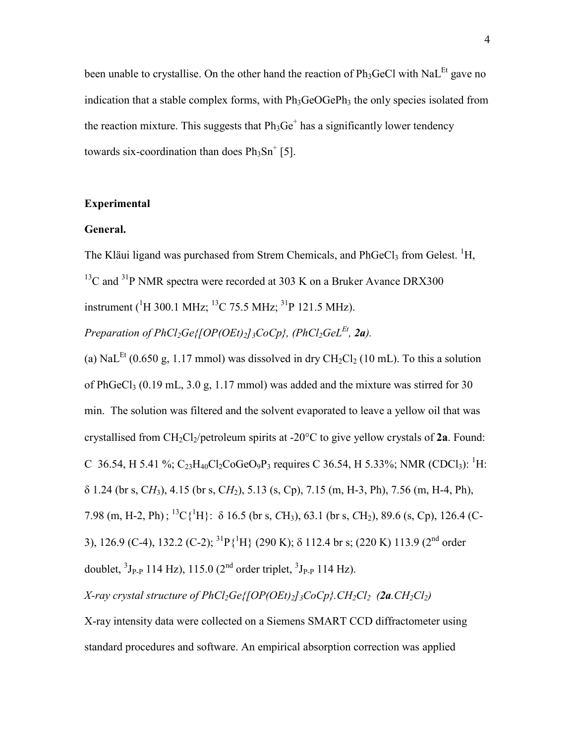been unable to crystallise. On the other hand the reaction of  $Ph_3GeCl$  with NaL<sup>Et</sup> gave no indication that a stable complex forms, with  $Ph_3GeOGePh_3$  the only species isolated from the reaction mixture. This suggests that  $Ph_3Ge^+$  has a significantly lower tendency towards six-coordination than does  $Ph<sub>3</sub>Sn<sup>+</sup>$  [5].

### **Experimental**

## **General.**

The Kläui ligand was purchased from Strem Chemicals, and PhGeCl<sub>3</sub> from Gelest. <sup>1</sup>H,  $13^1$ C and  $3^1$ P NMR spectra were recorded at 303 K on a Bruker Avance DRX300 instrument (<sup>1</sup>H 300.1 MHz; <sup>13</sup>C 75.5 MHz; <sup>31</sup>P 121.5 MHz).

*Preparation of PhCl<sub>2</sub>Ge{[OP(OEt)<sub>2</sub>]<sub>3</sub>CoCp</sub>}, (PhCl<sub>2</sub>GeL<sup>Et</sup>, 2a).* 

(a) NaL<sup>Et</sup> (0.650 g, 1.17 mmol) was dissolved in dry CH<sub>2</sub>Cl<sub>2</sub> (10 mL). To this a solution of PhGeCl<sub>3</sub> (0.19 mL, 3.0 g, 1.17 mmol) was added and the mixture was stirred for 30 min. The solution was filtered and the solvent evaporated to leave a yellow oil that was crystallised from CH2Cl2/petroleum spirits at -20°C to give yellow crystals of **2a**. Found: C 36.54, H 5.41 %;  $C_{23}H_{40}Cl_2CoGeO_9P_3$  requires C 36.54, H 5.33%; NMR (CDCl<sub>3</sub>): <sup>1</sup>H: Q 1.24 (br s, C*H*3), 4.15 (br s, C*H*2), 5.13 (s, Cp), 7.15 (m, H-3, Ph), 7.56 (m, H-4, Ph), 7.98 (m, H-2, Ph); <sup>13</sup>C{<sup>1</sup>H}: δ 16.5 (br s, *C*H<sub>3</sub>), 63.1 (br s, *CH*<sub>2</sub>), 89.6 (s, *C*p), 126.4 (*C*-3), 126.9 (C-4), 132.2 (C-2); <sup>31</sup>P{<sup>1</sup>H} (290 K);  $\delta$  112.4 br s; (220 K) 113.9 (2<sup>nd</sup> order doublet,  ${}^{3}J_{P-P}$  114 Hz), 115.0 (2<sup>nd</sup> order triplet,  ${}^{3}J_{P-P}$  114 Hz).

*X*-ray crystal structure of  $PhCl_2Ge\{[OP(OEt)_2\}$ <sub>3</sub>CoCp<sup>2</sup>.  $CH_2Cl_2$  (2a.  $CH_2Cl_2$ )

X-ray intensity data were collected on a Siemens SMART CCD diffractometer using standard procedures and software. An empirical absorption correction was applied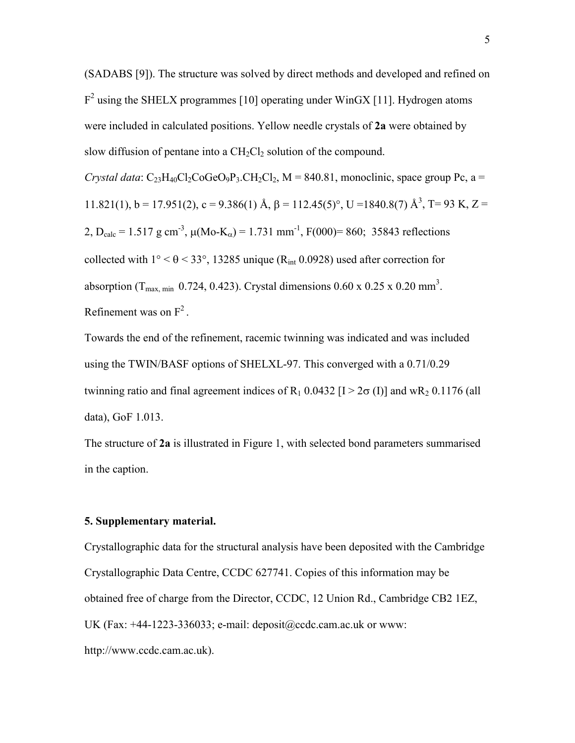(SADABS [9]). The structure was solved by direct methods and developed and refined on  $F<sup>2</sup>$  using the SHELX programmes [10] operating under WinGX [11]. Hydrogen atoms were included in calculated positions. Yellow needle crystals of **2a** were obtained by slow diffusion of pentane into a  $CH<sub>2</sub>Cl<sub>2</sub>$  solution of the compound.

*Crystal data*:  $C_{23}H_{40}Cl_2CoGeO_9P_3.CH_2Cl_2$ ,  $M = 840.81$ , monoclinic, space group Pc, a = 11.821(1), b = 17.951(2), c = 9.386(1) Å,  $\beta$  = 112.45(5)°, U = 1840.8(7) Å<sup>3</sup>, T = 93 K, Z = 2, D<sub>calc</sub> = 1.517 g cm<sup>-3</sup>,  $\mu$ (Mo-K<sub>α</sub>) = 1.731 mm<sup>-1</sup>, F(000)= 860; 35843 reflections collected with  $1^{\circ} < \theta < 33^{\circ}$ , 13285 unique (R<sub>int</sub> 0.0928) used after correction for absorption (T<sub>max, min</sub> 0.724, 0.423). Crystal dimensions  $0.60 \times 0.25 \times 0.20 \text{ mm}^3$ . Refinement was on  $F<sup>2</sup>$ .

Towards the end of the refinement, racemic twinning was indicated and was included using the TWIN/BASF options of SHELXL-97. This converged with a 0.71/0.29 twinning ratio and final agreement indices of  $R_1$  0.0432 [I > 2 $\sigma$  (I)] and w $R_2$  0.1176 (all data), GoF 1.013.

The structure of **2a** is illustrated in Figure 1, with selected bond parameters summarised in the caption.

#### **5. Supplementary material.**

Crystallographic data for the structural analysis have been deposited with the Cambridge Crystallographic Data Centre, CCDC 627741. Copies of this information may be obtained free of charge from the Director, CCDC, 12 Union Rd., Cambridge CB2 1EZ, UK (Fax:  $+44-1223-336033$ ; e-mail: deposit $@ccdc.cam.ac.uk$  or www: http://www.ccdc.cam.ac.uk).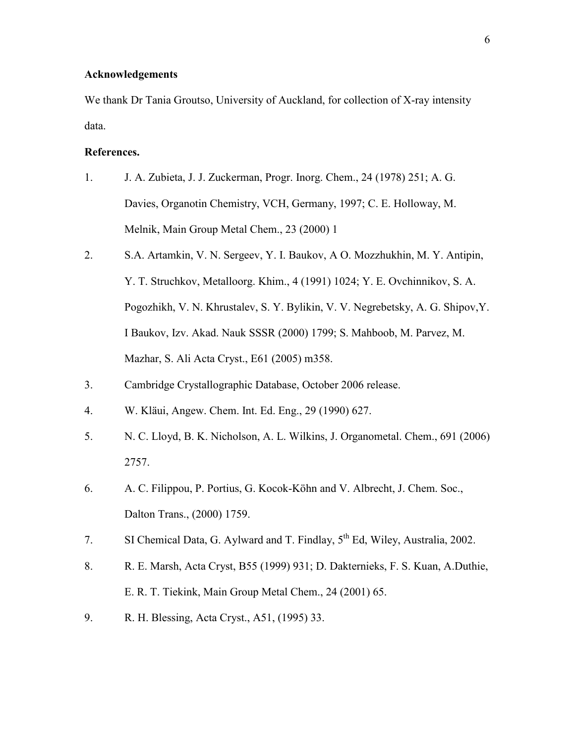## **Acknowledgements**

We thank Dr Tania Groutso, University of Auckland, for collection of X-ray intensity data.

## **References.**

- 1. J. A. Zubieta, J. J. Zuckerman, Progr. Inorg. Chem., 24 (1978) 251; A. G. Davies, Organotin Chemistry, VCH, Germany, 1997; C. E. Holloway, M. Melnik, Main Group Metal Chem., 23 (2000) 1
- 2. S.A. Artamkin, V. N. Sergeev, Y. I. Baukov, A O. Mozzhukhin, M. Y. Antipin, Y. T. Struchkov, Metalloorg. Khim., 4 (1991) 1024; Y. E. Ovchinnikov, S. A. Pogozhikh, V. N. Khrustalev, S. Y. Bylikin, V. V. Negrebetsky, A. G. Shipov,Y. I Baukov, Izv. Akad. Nauk SSSR (2000) 1799; S. Mahboob, M. Parvez, M. Mazhar, S. Ali Acta Cryst., E61 (2005) m358.
- 3. Cambridge Crystallographic Database, October 2006 release.
- 4. W. Kläui, Angew. Chem. Int. Ed. Eng., 29 (1990) 627.
- 5. N. C. Lloyd, B. K. Nicholson, A. L. Wilkins, J. Organometal. Chem., 691 (2006) 2757.
- 6. A. C. Filippou, P. Portius, G. Kocok-Köhn and V. Albrecht, J. Chem. Soc., Dalton Trans., (2000) 1759.
- 7. SI Chemical Data, G. Aylward and T. Findlay, 5th Ed, Wiley, Australia, 2002.
- 8. R. E. Marsh, Acta Cryst, B55 (1999) 931; D. Dakternieks, F. S. Kuan, A.Duthie, E. R. T. Tiekink, Main Group Metal Chem., 24 (2001) 65.
- 9. R. H. Blessing, Acta Cryst., A51, (1995) 33.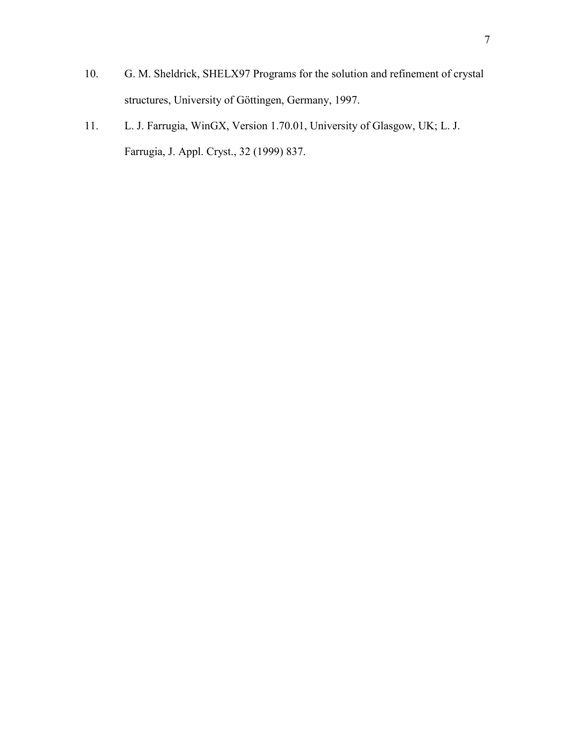- 10. G. M. Sheldrick, SHELX97 Programs for the solution and refinement of crystal structures, University of Göttingen, Germany, 1997.
- 11. L. J. Farrugia, WinGX, Version 1.70.01, University of Glasgow, UK; L. J. Farrugia, J. Appl. Cryst., 32 (1999) 837.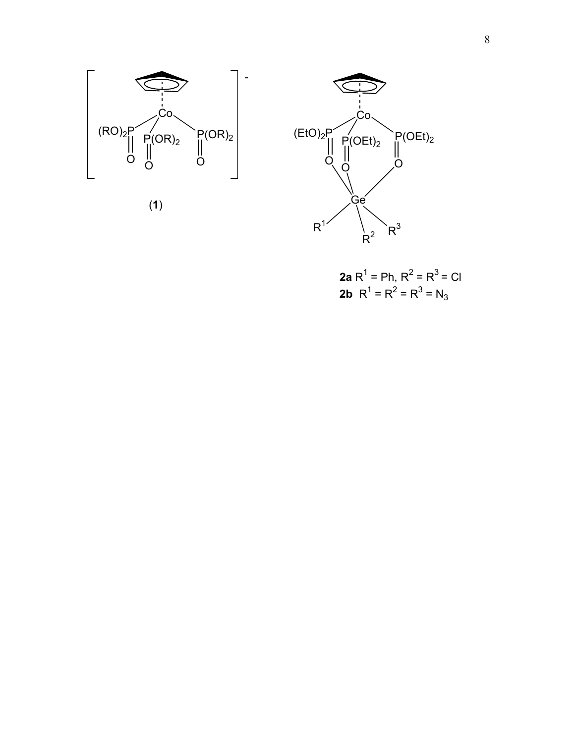





**2a** R1 = Ph, R2 = R3 = Cl **2b** R1 <sup>=</sup> R2 <sup>=</sup> R3 <sup>=</sup> N3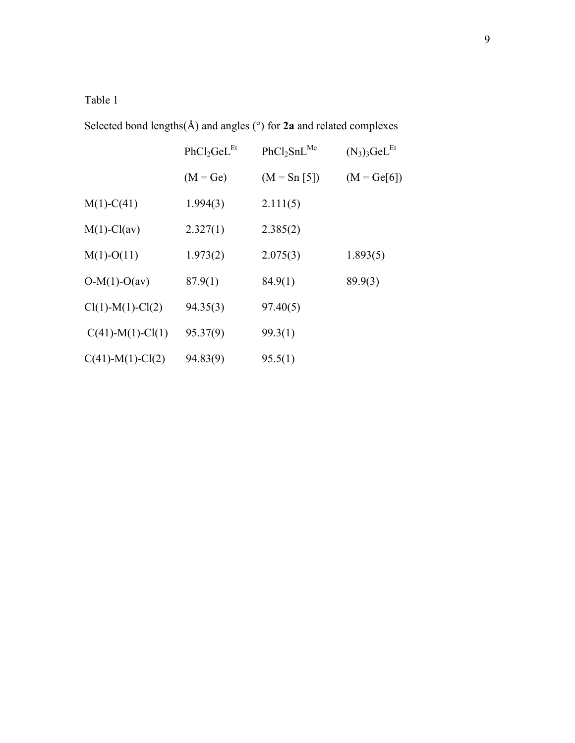# Table 1

Selected bond lengths(Å) and angles (°) for **2a** and related complexes

|                     | PhCl <sub>2</sub> GeL <sup>Et</sup> | PhCl <sub>2</sub> SnL <sup>Me</sup> | $(N_3)_3$ GeL <sup>Et</sup> |
|---------------------|-------------------------------------|-------------------------------------|-----------------------------|
|                     | $(M = Ge)$                          | $(M = Sn [5])$                      | $(M = Ge[6])$               |
| $M(1)-C(41)$        | 1.994(3)                            | 2.111(5)                            |                             |
| $M(1)-Cl(av)$       | 2.327(1)                            | 2.385(2)                            |                             |
| $M(1)-O(11)$        | 1.973(2)                            | 2.075(3)                            | 1.893(5)                    |
| $O-M(1)-O(av)$      | 87.9(1)                             | 84.9(1)                             | 89.9(3)                     |
| $Cl(1)-M(1)-Cl(2)$  | 94.35(3)                            | 97.40(5)                            |                             |
| $C(41)$ -M(1)-Cl(1) | 95.37(9)                            | 99.3(1)                             |                             |
| $C(41)$ -M(1)-Cl(2) | 94.83(9)                            | 95.5(1)                             |                             |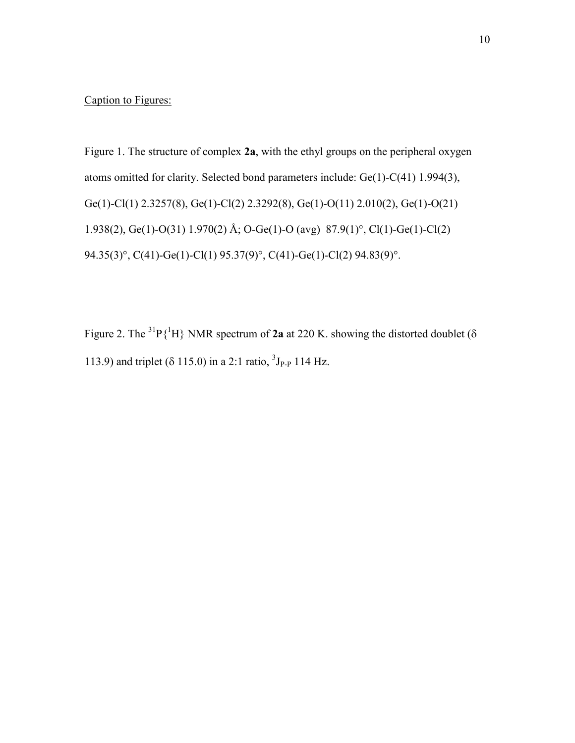# Caption to Figures:

Figure 1. The structure of complex **2a**, with the ethyl groups on the peripheral oxygen atoms omitted for clarity. Selected bond parameters include: Ge(1)-C(41) 1.994(3), Ge(1)-Cl(1) 2.3257(8), Ge(1)-Cl(2) 2.3292(8), Ge(1)-O(11) 2.010(2), Ge(1)-O(21) 1.938(2), Ge(1)-O(31) 1.970(2) Å; O-Ge(1)-O (avg) 87.9(1)°, Cl(1)-Ge(1)-Cl(2) 94.35(3)°, C(41)-Ge(1)-Cl(1) 95.37(9)°, C(41)-Ge(1)-Cl(2) 94.83(9)°.

Figure 2. The <sup>31</sup>P $\{^1H\}$  NMR spectrum of 2a at 220 K. showing the distorted doublet ( $\delta$ 113.9) and triplet ( $\delta$  115.0) in a 2:1 ratio,  ${}^{3}J_{P-P}$  114 Hz.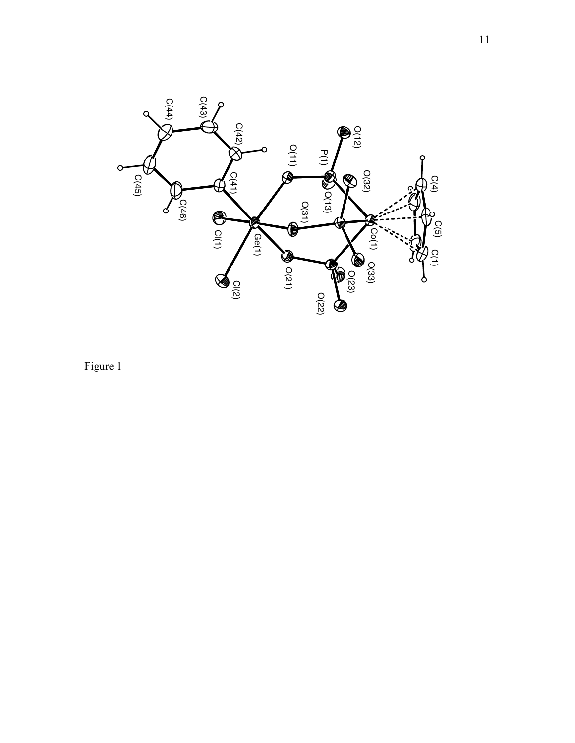

Figure 1